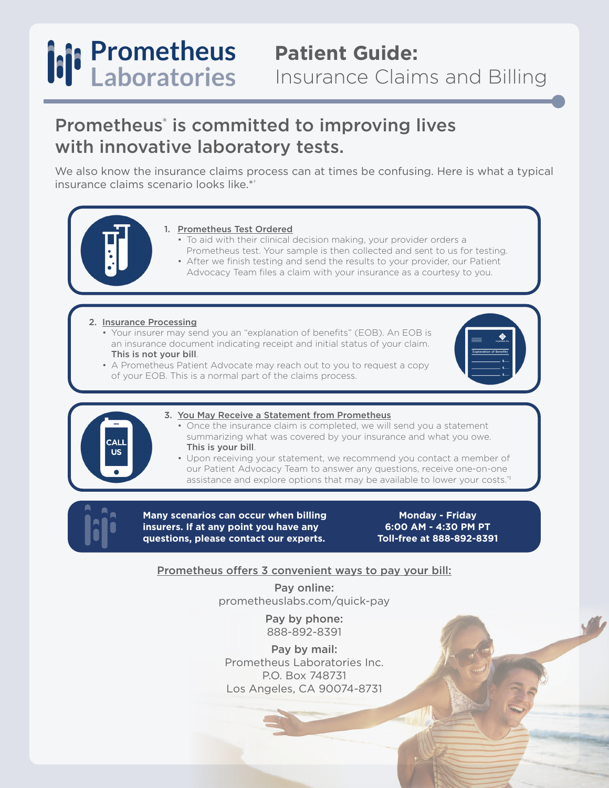## **Patient Guide:** Insurance Claims and Billing

### Prometheus<sup>®</sup> is committed to improving lives with innovative laboratory tests.

We also know the insurance claims process can at times be confusing. Here is what a typical insurance claims scenario looks like.\*†

#### 1. Prometheus Test Ordered

- To aid with their clinical decision making, your provider orders a Prometheus test. Your sample is then collected and sent to us for testing.
- After we finish testing and send the results to your provider, our Patient Advocacy Team files a claim with your insurance as a courtesy to you.

2. Insurance Processing

- Your insurer may send you an "explanation of benefits" (EOB). An EOB is an insurance document indicating receipt and initial status of your claim. This is not your bill.
- A Prometheus Patient Advocate may reach out to you to request a copy of your EOB. This is a normal part of the claims process.





#### 3. You May Receive a Statement from Prometheus

- Once the insurance claim is completed, we will send you a statement summarizing what was covered by your insurance and what you owe. This is your bill.
- Upon receiving your statement, we recommend you contact a member of our Patient Advocacy Team to answer any questions, receive one-on-one assistance and explore options that may be available to lower your costs.<sup>††</sup>



**Many scenarios can occur when billing insurers. If at any point you have any questions, please contact our experts.**

**Monday - Friday 6:00 AM - 4:30 PM PT Toll-free at 888-892-8391**

### Prometheus offers 3 convenient ways to pay your bill:

Pay online: prometheuslabs.com/quick-pay

> Pay by phone: 888-892-8391

Pay by mail: Prometheus Laboratories Inc. P.O. Box 748731 Los Angeles, CA 90074-8731